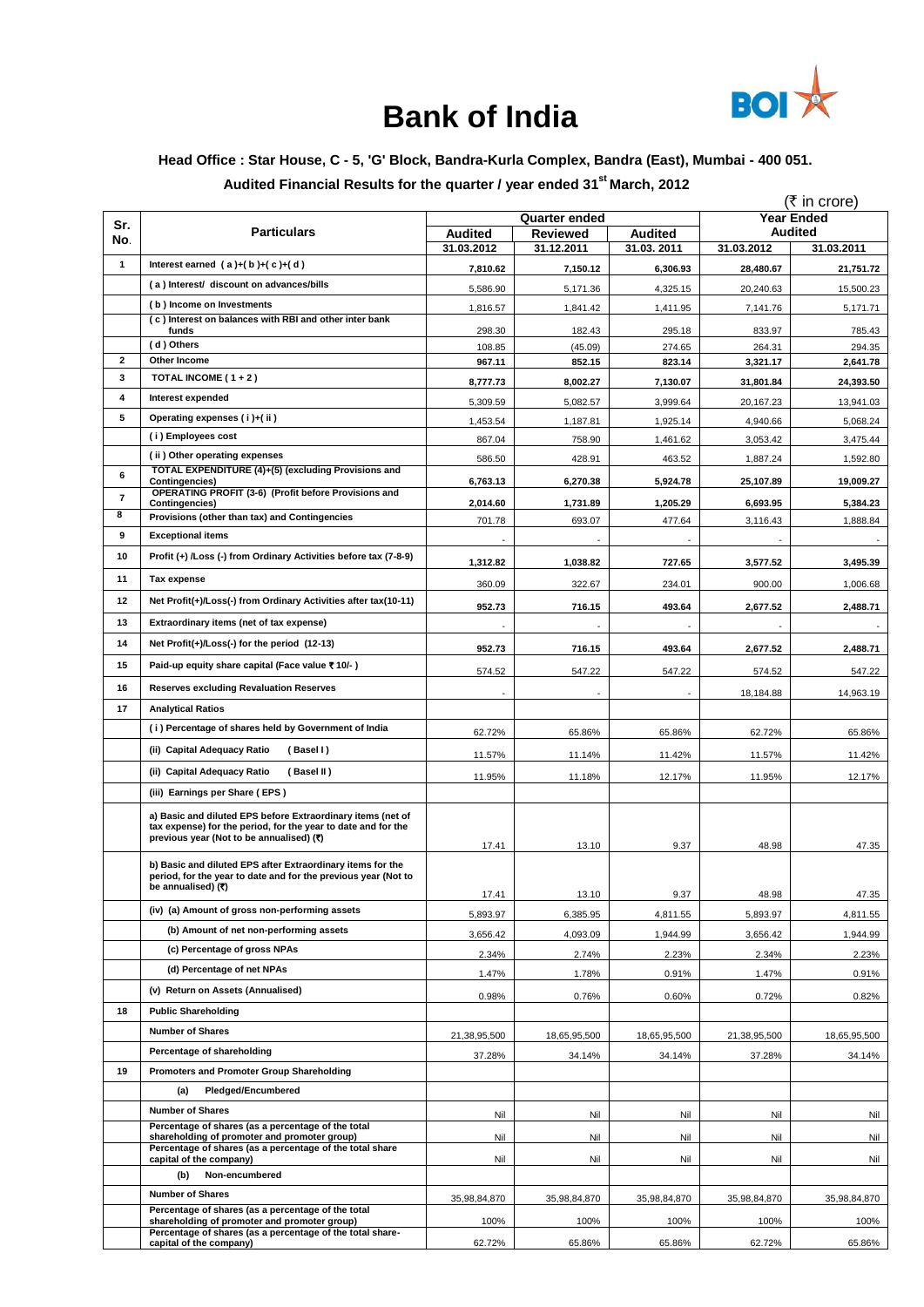

# **Bank of India**

## **Head Office : Star House, C - 5, 'G' Block, Bandra-Kurla Complex, Bandra (East), Mumbai - 400 051.**

**Audited Financial Results for the quarter / year ended 31 st March, 2012**

|                          |                                                                                                                                                                          |                              |                               |                       |                    | (₹ in core)                  |
|--------------------------|--------------------------------------------------------------------------------------------------------------------------------------------------------------------------|------------------------------|-------------------------------|-----------------------|--------------------|------------------------------|
| Sr.                      |                                                                                                                                                                          |                              | <b>Quarter ended</b>          |                       |                    | <b>Year Ended</b>            |
| No.                      | <b>Particulars</b>                                                                                                                                                       | <b>Audited</b><br>31.03.2012 | <b>Reviewed</b><br>31.12.2011 | Audited<br>31.03.2011 | 31.03.2012         | <b>Audited</b><br>31.03.2011 |
| 1                        | Interest earned $(a)+(b)+(c)+(d)$                                                                                                                                        |                              |                               |                       |                    |                              |
|                          | (a) Interest/ discount on advances/bills                                                                                                                                 | 7,810.62                     | 7,150.12                      | 6,306.93              | 28,480.67          | 21,751.72                    |
|                          | (b) Income on Investments                                                                                                                                                | 5,586.90                     | 5,171.36                      | 4,325.15              | 20,240.63          | 15,500.23                    |
|                          | (c) Interest on balances with RBI and other inter bank                                                                                                                   | 1,816.57                     | 1,841.42                      | 1,411.95              | 7,141.76           | 5,171.71                     |
|                          | funds                                                                                                                                                                    | 298.30                       | 182.43                        | 295.18                | 833.97             | 785.43                       |
| $\mathbf{2}$             | (d) Others<br>Other Income                                                                                                                                               | 108.85<br>967.11             | (45.09)<br>852.15             | 274.65<br>823.14      | 264.31<br>3,321.17 | 294.35<br>2,641.78           |
| 3                        | TOTAL INCOME ( $1+2$ )                                                                                                                                                   |                              |                               |                       |                    |                              |
| 4                        | Interest expended                                                                                                                                                        | 8,777.73                     | 8,002.27                      | 7,130.07              | 31,801.84          | 24,393.50                    |
| 5                        | Operating expenses (i)+(ii)                                                                                                                                              | 5,309.59                     | 5,082.57                      | 3,999.64              | 20,167.23          | 13,941.03                    |
|                          | (i) Employees cost                                                                                                                                                       | 1,453.54                     | 1,187.81                      | 1.925.14              | 4,940.66           | 5,068.24                     |
|                          | (ii) Other operating expenses                                                                                                                                            | 867.04                       | 758.90                        | 1,461.62              | 3,053.42           | 3,475.44                     |
| 6                        | TOTAL EXPENDITURE (4)+(5) (excluding Provisions and                                                                                                                      | 586.50                       | 428.91                        | 463.52                | 1,887.24           | 1,592.80                     |
|                          | Contingencies)<br>OPERATING PROFIT (3-6) (Profit before Provisions and                                                                                                   | 6,763.13                     | 6,270.38                      | 5,924.78              | 25,107.89          | 19,009.27                    |
| $\overline{\phantom{a}}$ | Contingencies)                                                                                                                                                           | 2,014.60                     | 1,731.89                      | 1,205.29              | 6,693.95           | 5,384.23                     |
| 8                        | Provisions (other than tax) and Contingencies                                                                                                                            | 701.78                       | 693.07                        | 477.64                | 3,116.43           | 1,888.84                     |
| 9                        | <b>Exceptional items</b>                                                                                                                                                 |                              |                               |                       |                    |                              |
| 10                       | Profit (+) /Loss (-) from Ordinary Activities before tax (7-8-9)                                                                                                         | 1,312.82                     | 1,038.82                      | 727.65                | 3,577.52           | 3,495.39                     |
| 11                       | Tax expense                                                                                                                                                              | 360.09                       | 322.67                        | 234.01                | 900.00             | 1,006.68                     |
| 12                       | Net Profit(+)/Loss(-) from Ordinary Activities after tax(10-11)                                                                                                          | 952.73                       | 716.15                        | 493.64                | 2,677.52           | 2,488.71                     |
| 13                       | Extraordinary items (net of tax expense)                                                                                                                                 |                              |                               |                       |                    |                              |
| 14                       | Net Profit(+)/Loss(-) for the period (12-13)                                                                                                                             |                              |                               |                       |                    |                              |
| 15                       | Paid-up equity share capital (Face value ₹10/-)                                                                                                                          | 952.73                       | 716.15                        | 493.64                | 2,677.52           | 2,488.71                     |
|                          |                                                                                                                                                                          | 574.52                       | 547.22                        | 547.22                | 574.52             | 547.22                       |
| 16                       | <b>Reserves excluding Revaluation Reserves</b>                                                                                                                           |                              |                               |                       | 18,184.88          | 14,963.19                    |
| 17                       | <b>Analytical Ratios</b>                                                                                                                                                 |                              |                               |                       |                    |                              |
|                          | (i) Percentage of shares held by Government of India                                                                                                                     | 62.72%                       | 65.86%                        | 65.86%                | 62.72%             | 65.86%                       |
|                          | (ii) Capital Adequacy Ratio<br>(Basel I)                                                                                                                                 | 11.57%                       | 11.14%                        | 11.42%                | 11.57%             | 11.42%                       |
|                          | (ii) Capital Adequacy Ratio<br>(Basel II)                                                                                                                                | 11.95%                       | 11.18%                        | 12.17%                | 11.95%             | 12.17%                       |
|                          | (iii) Earnings per Share (EPS)                                                                                                                                           |                              |                               |                       |                    |                              |
|                          | a) Basic and diluted EPS before Extraordinary items (net of<br>tax expense) for the period, for the year to date and for the<br>previous year (Not to be annualised) (₹) | 17.41                        | 13.10                         | 9.37                  | 48.98              | 47.35                        |
|                          | b) Basic and diluted EPS after Extraordinary items for the<br>period, for the year to date and for the previous year (Not to<br>be annualised) (₹)                       | 17.41                        | 13.10                         | 9.37                  | 48.98              | 47.35                        |
|                          | (iv) (a) Amount of gross non-performing assets                                                                                                                           | 5,893.97                     | 6,385.95                      | 4,811.55              | 5,893.97           | 4,811.55                     |
|                          | (b) Amount of net non-performing assets                                                                                                                                  | 3,656.42                     | 4,093.09                      | 1,944.99              | 3,656.42           | 1,944.99                     |
|                          | (c) Percentage of gross NPAs                                                                                                                                             | 2.34%                        | 2.74%                         | 2.23%                 | 2.34%              | 2.23%                        |
|                          | (d) Percentage of net NPAs                                                                                                                                               |                              | 1.78%                         |                       |                    |                              |
|                          | (v) Return on Assets (Annualised)                                                                                                                                        | 1.47%                        |                               | 0.91%                 | 1.47%              | 0.91%                        |
| 18                       | <b>Public Shareholding</b>                                                                                                                                               | 0.98%                        | 0.76%                         | 0.60%                 | 0.72%              | 0.82%                        |
|                          | <b>Number of Shares</b>                                                                                                                                                  |                              |                               |                       |                    |                              |
|                          |                                                                                                                                                                          | 21,38,95,500                 | 18,65,95,500                  | 18,65,95,500          | 21,38,95,500       | 18,65,95,500                 |
|                          | Percentage of shareholding                                                                                                                                               | 37.28%                       | 34.14%                        | 34.14%                | 37.28%             | 34.14%                       |
| 19                       | Promoters and Promoter Group Shareholding                                                                                                                                |                              |                               |                       |                    |                              |
|                          | <b>Pledged/Encumbered</b><br>(a)                                                                                                                                         |                              |                               |                       |                    |                              |
|                          | <b>Number of Shares</b>                                                                                                                                                  | Nil                          | Nil                           | Nil                   | Nil                | Nil                          |
|                          | Percentage of shares (as a percentage of the total<br>shareholding of promoter and promoter group)                                                                       | Nil                          | Nil                           | Nil                   | Nil                | Nil                          |
|                          | Percentage of shares (as a percentage of the total share<br>capital of the company)                                                                                      | Nil                          | Nil                           | Nil                   | Nil                | Nil                          |
|                          | Non-encumbered<br>(b)                                                                                                                                                    |                              |                               |                       |                    |                              |
|                          | <b>Number of Shares</b>                                                                                                                                                  | 35,98,84,870                 | 35,98,84,870                  | 35,98,84,870          | 35,98,84,870       | 35,98,84,870                 |
|                          | Percentage of shares (as a percentage of the total                                                                                                                       |                              |                               |                       |                    |                              |
|                          | shareholding of promoter and promoter group)<br>Percentage of shares (as a percentage of the total share-<br>capital of the company)                                     | 100%<br>62.72%               | 100%<br>65.86%                | 100%<br>65.86%        | 100%<br>62.72%     | 100%<br>65.86%               |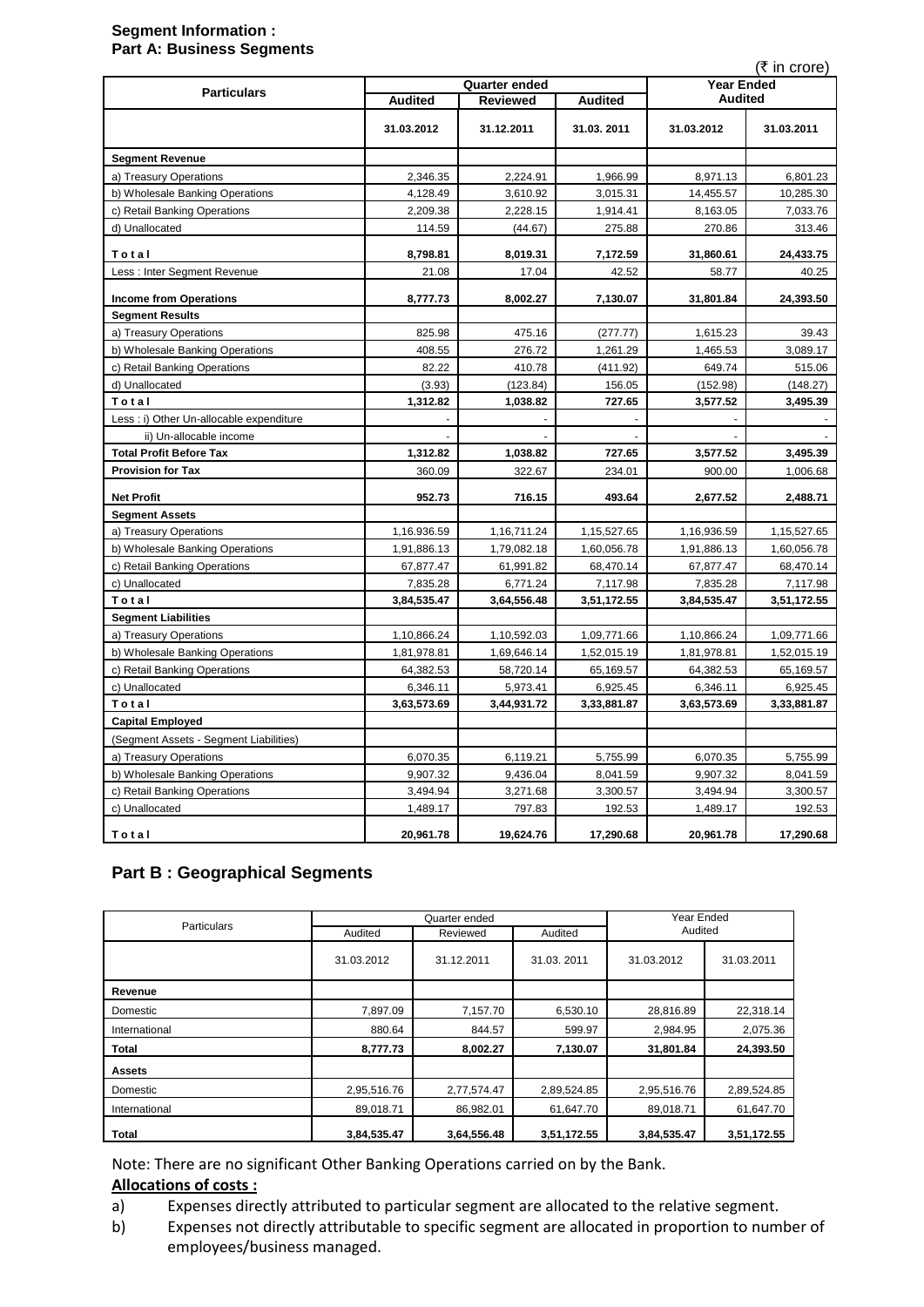#### **Segment Information : Part A: Business Segments**

| (₹ in crore)                             |                      |             |                |                |             |
|------------------------------------------|----------------------|-------------|----------------|----------------|-------------|
| <b>Particulars</b>                       | <b>Quarter ended</b> |             |                | Year Ended     |             |
|                                          | <b>Audited</b>       | Reviewed    | <b>Audited</b> | <b>Audited</b> |             |
|                                          | 31.03.2012           | 31.12.2011  | 31.03.2011     | 31.03.2012     | 31.03.2011  |
| <b>Segment Revenue</b>                   |                      |             |                |                |             |
| a) Treasury Operations                   | 2,346.35             | 2,224.91    | 1,966.99       | 8,971.13       | 6,801.23    |
| b) Wholesale Banking Operations          | 4,128.49             | 3,610.92    | 3,015.31       | 14,455.57      | 10,285.30   |
| c) Retail Banking Operations             | 2,209.38             | 2,228.15    | 1,914.41       | 8,163.05       | 7,033.76    |
| d) Unallocated                           | 114.59               | (44.67)     | 275.88         | 270.86         | 313.46      |
| Total                                    | 8,798.81             | 8,019.31    | 7,172.59       | 31,860.61      | 24,433.75   |
| Less : Inter Segment Revenue             | 21.08                | 17.04       | 42.52          | 58.77          | 40.25       |
| <b>Income from Operations</b>            | 8,777.73             | 8,002.27    | 7,130.07       | 31,801.84      | 24,393.50   |
| <b>Segment Results</b>                   |                      |             |                |                |             |
| a) Treasury Operations                   | 825.98               | 475.16      | (277.77)       | 1,615.23       | 39.43       |
| b) Wholesale Banking Operations          | 408.55               | 276.72      | 1,261.29       | 1,465.53       | 3,089.17    |
| c) Retail Banking Operations             | 82.22                | 410.78      | (411.92)       | 649.74         | 515.06      |
| d) Unallocated                           | (3.93)               | (123.84)    | 156.05         | (152.98)       | (148.27)    |
| Total                                    | 1,312.82             | 1,038.82    | 727.65         | 3,577.52       | 3,495.39    |
| Less : i) Other Un-allocable expenditure |                      |             |                |                |             |
| ii) Un-allocable income                  |                      |             |                |                |             |
| <b>Total Profit Before Tax</b>           | 1,312.82             | 1,038.82    | 727.65         | 3,577.52       | 3,495.39    |
| <b>Provision for Tax</b>                 | 360.09               | 322.67      | 234.01         | 900.00         | 1,006.68    |
| <b>Net Profit</b>                        | 952.73               | 716.15      | 493.64         | 2,677.52       | 2,488.71    |
| <b>Segment Assets</b>                    |                      |             |                |                |             |
| a) Treasury Operations                   | 1,16.936.59          | 1,16,711.24 | 1,15,527.65    | 1,16,936.59    | 1,15,527.65 |
| b) Wholesale Banking Operations          | 1,91,886.13          | 1,79,082.18 | 1,60,056.78    | 1,91,886.13    | 1,60,056.78 |
| c) Retail Banking Operations             | 67,877.47            | 61,991.82   | 68,470.14      | 67,877.47      | 68,470.14   |
| c) Unallocated                           | 7,835.28             | 6,771.24    | 7,117.98       | 7,835.28       | 7,117.98    |
| Total                                    | 3,84,535.47          | 3,64,556.48 | 3,51,172.55    | 3,84,535.47    | 3,51,172.55 |
| <b>Segment Liabilities</b>               |                      |             |                |                |             |
| a) Treasury Operations                   | 1,10,866.24          | 1,10,592.03 | 1,09,771.66    | 1,10,866.24    | 1,09,771.66 |
| b) Wholesale Banking Operations          | 1,81,978.81          | 1,69,646.14 | 1,52,015.19    | 1,81,978.81    | 1,52,015.19 |
| c) Retail Banking Operations             | 64,382.53            | 58,720.14   | 65,169.57      | 64,382.53      | 65,169.57   |
| c) Unallocated                           | 6,346.11             | 5,973.41    | 6,925.45       | 6,346.11       | 6,925.45    |
| Total                                    | 3,63,573.69          | 3,44,931.72 | 3,33,881.87    | 3,63,573.69    | 3,33,881.87 |
| <b>Capital Employed</b>                  |                      |             |                |                |             |
| (Segment Assets - Segment Liabilities)   |                      |             |                |                |             |
| a) Treasury Operations                   | 6,070.35             | 6,119.21    | 5,755.99       | 6,070.35       | 5,755.99    |
| b) Wholesale Banking Operations          | 9,907.32             | 9,436.04    | 8,041.59       | 9,907.32       | 8,041.59    |
| c) Retail Banking Operations             | 3,494.94             | 3,271.68    | 3,300.57       | 3,494.94       | 3,300.57    |
| c) Unallocated                           | 1,489.17             | 797.83      | 192.53         | 1,489.17       | 192.53      |
| Total                                    | 20,961.78            | 19,624.76   | 17,290.68      | 20,961.78      | 17,290.68   |

## **Part B : Geographical Segments**

| Particulars   |             | Quarter ended       | Year Ended<br>Audited |             |             |
|---------------|-------------|---------------------|-----------------------|-------------|-------------|
|               | Audited     | Reviewed<br>Audited |                       |             |             |
|               | 31.03.2012  | 31.12.2011          | 31.03.2011            | 31.03.2012  | 31.03.2011  |
| Revenue       |             |                     |                       |             |             |
| Domestic      | 7,897.09    | 7,157.70            | 6,530.10              | 28,816.89   | 22,318.14   |
| International | 880.64      | 844.57              | 599.97                | 2,984.95    | 2,075.36    |
| <b>Total</b>  | 8,777.73    | 8,002.27            | 7,130.07              | 31,801.84   | 24,393.50   |
| <b>Assets</b> |             |                     |                       |             |             |
| Domestic      | 2,95,516.76 | 2,77,574.47         | 2,89,524.85           | 2,95,516.76 | 2,89,524.85 |
| International | 89.018.71   | 86.982.01           | 61,647.70             | 89,018.71   | 61,647.70   |
| <b>Total</b>  | 3,84,535.47 | 3,64,556.48         | 3,51,172.55           | 3,84,535.47 | 3,51,172.55 |

Note: There are no significant Other Banking Operations carried on by the Bank.

## **Allocations of costs :**

- a) Expenses directly attributed to particular segment are allocated to the relative segment.
- b) Expenses not directly attributable to specific segment are allocated in proportion to number of employees/business managed.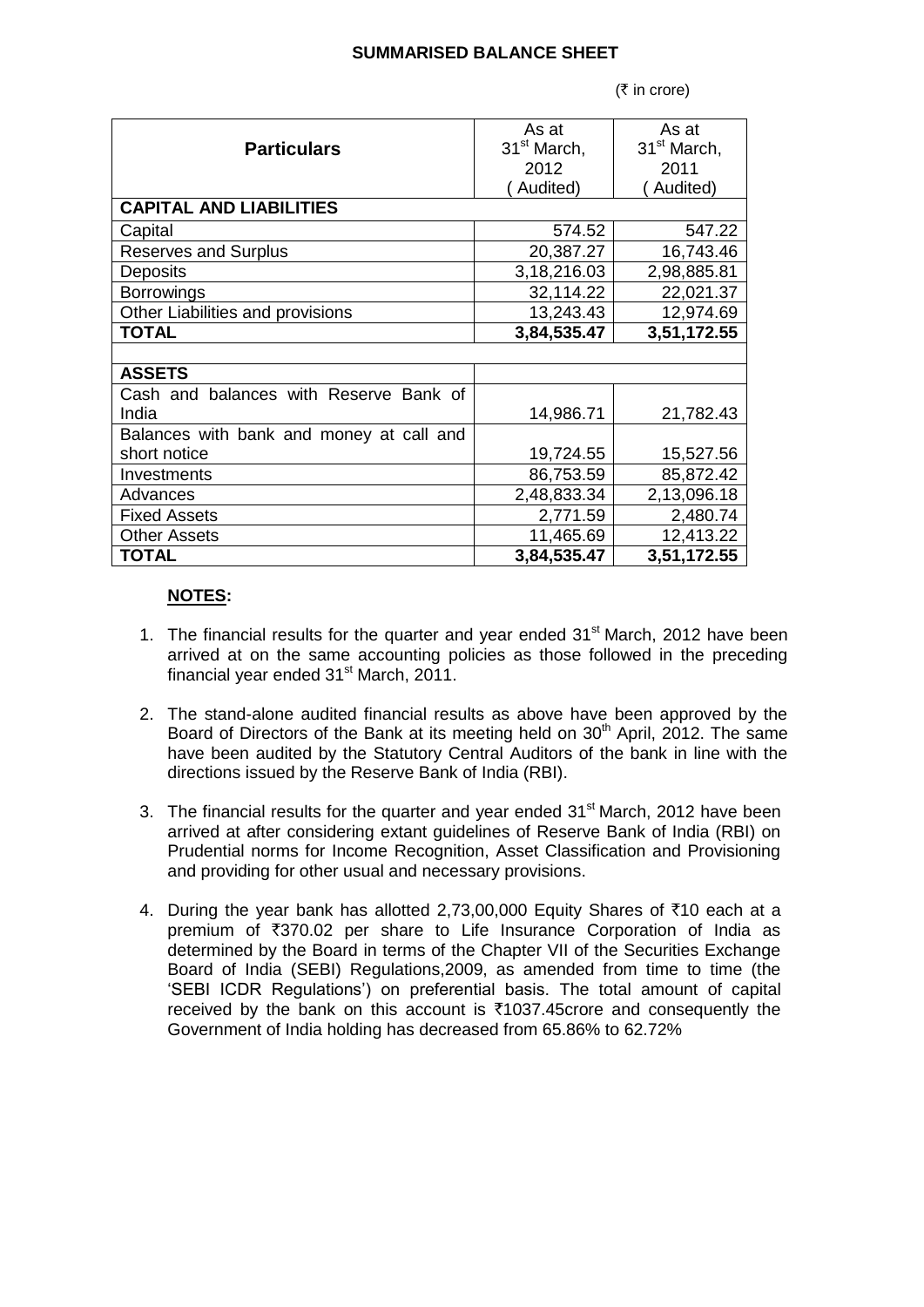### **SUMMARISED BALANCE SHEET**

 $(5 \infty)$ 

|                                          | As at                   | As at                   |  |  |
|------------------------------------------|-------------------------|-------------------------|--|--|
| <b>Particulars</b>                       | 31 <sup>st</sup> March, | 31 <sup>st</sup> March, |  |  |
|                                          | 2012                    | 2011                    |  |  |
|                                          | Audited)                | Audited)                |  |  |
| <b>CAPITAL AND LIABILITIES</b>           |                         |                         |  |  |
| Capital                                  | 574.52                  | 547.22                  |  |  |
| <b>Reserves and Surplus</b>              | 20,387.27               | 16,743.46               |  |  |
| Deposits                                 | 3,18,216.03             | 2,98,885.81             |  |  |
| <b>Borrowings</b>                        | 32,114.22               | 22,021.37               |  |  |
| Other Liabilities and provisions         | 13,243.43               | 12,974.69               |  |  |
| <b>TOTAL</b>                             | 3,84,535.47             | 3,51,172.55             |  |  |
|                                          |                         |                         |  |  |
| <b>ASSETS</b>                            |                         |                         |  |  |
| Cash and balances with Reserve Bank of   |                         |                         |  |  |
| India                                    | 14,986.71               | 21,782.43               |  |  |
| Balances with bank and money at call and |                         |                         |  |  |
| short notice                             | 19,724.55               | 15,527.56               |  |  |
| Investments                              | 86,753.59               | 85,872.42               |  |  |
| Advances                                 | 2,48,833.34             | 2,13,096.18             |  |  |
| <b>Fixed Assets</b>                      | 2,771.59                | 2,480.74                |  |  |
| <b>Other Assets</b>                      | 11,465.69               | 12,413.22               |  |  |
| <b>TOTAL</b>                             | 3,84,535.47             | 3,51,172.55             |  |  |

### **NOTES:**

- 1. The financial results for the quarter and year ended  $31<sup>st</sup>$  March, 2012 have been arrived at on the same accounting policies as those followed in the preceding financial year ended  $31<sup>st</sup>$  March, 2011.
- 2. The stand-alone audited financial results as above have been approved by the Board of Directors of the Bank at its meeting held on  $30<sup>th</sup>$  April, 2012. The same have been audited by the Statutory Central Auditors of the bank in line with the directions issued by the Reserve Bank of India (RBI).
- 3. The financial results for the quarter and year ended  $31<sup>st</sup>$  March, 2012 have been arrived at after considering extant guidelines of Reserve Bank of India (RBI) on Prudential norms for Income Recognition, Asset Classification and Provisioning and providing for other usual and necessary provisions.
- 4. During the year bank has allotted 2,73,00,000 Equity Shares of  $\bar{x}$ 10 each at a premium of ₹370.02 per share to Life Insurance Corporation of India as determined by the Board in terms of the Chapter VII of the Securities Exchange Board of India (SEBI) Regulations,2009, as amended from time to time (the "SEBI ICDR Regulations") on preferential basis. The total amount of capital received by the bank on this account is  $\overline{\tau}$ 1037.45crore and consequently the Government of India holding has decreased from 65.86% to 62.72%